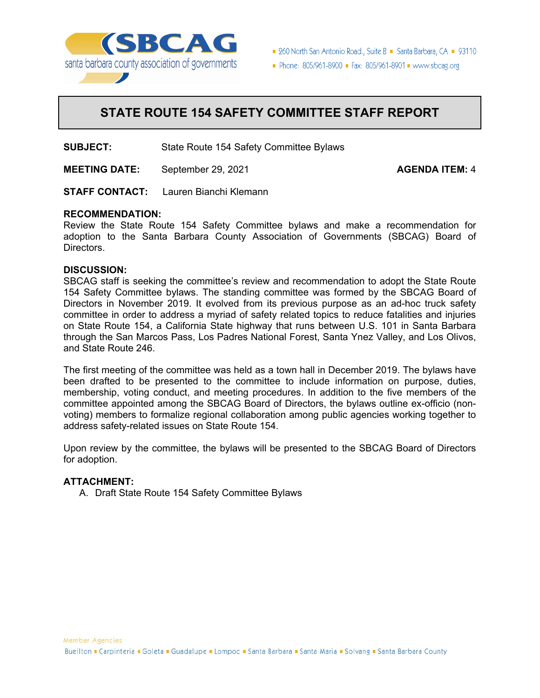

■ 260 North San Antonio Road., Suite B ■ Santa Barbara, CA ■ 93110

Phone: 805/961-8900 = Fax: 805/961-8901 = www.sbcag.org

# **STATE ROUTE 154 SAFETY COMMITTEE STAFF REPORT**

**SUBJECT:** State Route 154 Safety Committee Bylaws

**MEETING DATE:** September 29, 2021 **AGENDA ITEM:** 4

**STAFF CONTACT:** Lauren Bianchi Klemann

#### **RECOMMENDATION:**

Review the State Route 154 Safety Committee bylaws and make a recommendation for adoption to the Santa Barbara County Association of Governments (SBCAG) Board of Directors.

#### **DISCUSSION:**

SBCAG staff is seeking the committee's review and recommendation to adopt the State Route 154 Safety Committee bylaws. The standing committee was formed by the SBCAG Board of Directors in November 2019. It evolved from its previous purpose as an ad-hoc truck safety committee in order to address a myriad of safety related topics to reduce fatalities and injuries on State Route 154, a California State highway that runs between U.S. 101 in Santa Barbara through the San Marcos Pass, Los Padres National Forest, Santa Ynez Valley, and Los Olivos, and State Route 246.

The first meeting of the committee was held as a town hall in December 2019. The bylaws have been drafted to be presented to the committee to include information on purpose, duties, membership, voting conduct, and meeting procedures. In addition to the five members of the committee appointed among the SBCAG Board of Directors, the bylaws outline ex-officio (nonvoting) members to formalize regional collaboration among public agencies working together to address safety-related issues on State Route 154.

Upon review by the committee, the bylaws will be presented to the SBCAG Board of Directors for adoption.

#### **ATTACHMENT:**

A. Draft State Route 154 Safety Committee Bylaws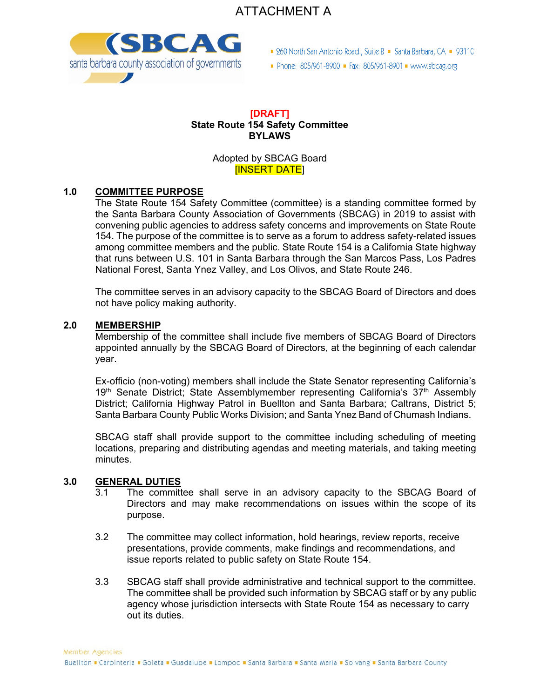



■ 260 North San Antonio Road., Suite B ■ Santa Barbara, CA ■ 93110

Phone: 805/961-8900 - Fax: 805/961-8901 - www.sbcag.org

#### **[DRAFT] State Route 154 Safety Committee BYLAWS**

Adopted by SBCAG Board [INSERT DATE]

# **1.0 COMMITTEE PURPOSE**

The State Route 154 Safety Committee (committee) is a standing committee formed by the Santa Barbara County Association of Governments (SBCAG) in 2019 to assist with convening public agencies to address safety concerns and improvements on State Route 154. The purpose of the committee is to serve as a forum to address safety-related issues among committee members and the public. State Route 154 is a California State highway that runs between U.S. 101 in Santa Barbara through the San Marcos Pass, Los Padres National Forest, Santa Ynez Valley, and Los Olivos, and State Route 246.

The committee serves in an advisory capacity to the SBCAG Board of Directors and does not have policy making authority.

#### **2.0 MEMBERSHIP**

Membership of the committee shall include five members of SBCAG Board of Directors appointed annually by the SBCAG Board of Directors, at the beginning of each calendar year.

Ex-officio (non-voting) members shall include the State Senator representing California's 19<sup>th</sup> Senate District; State Assemblymember representing California's 37<sup>th</sup> Assembly District; California Highway Patrol in Buellton and Santa Barbara; Caltrans, District 5; Santa Barbara County Public Works Division; and Santa Ynez Band of Chumash Indians.

SBCAG staff shall provide support to the committee including scheduling of meeting locations, preparing and distributing agendas and meeting materials, and taking meeting minutes.

#### **3.0 GENERAL DUTIES**

- 3.1 The committee shall serve in an advisory capacity to the SBCAG Board of Directors and may make recommendations on issues within the scope of its purpose.
- 3.2 The committee may collect information, hold hearings, review reports, receive presentations, provide comments, make findings and recommendations, and issue reports related to public safety on State Route 154.
- 3.3 SBCAG staff shall provide administrative and technical support to the committee. The committee shall be provided such information by SBCAG staff or by any public agency whose jurisdiction intersects with State Route 154 as necessary to carry out its duties.